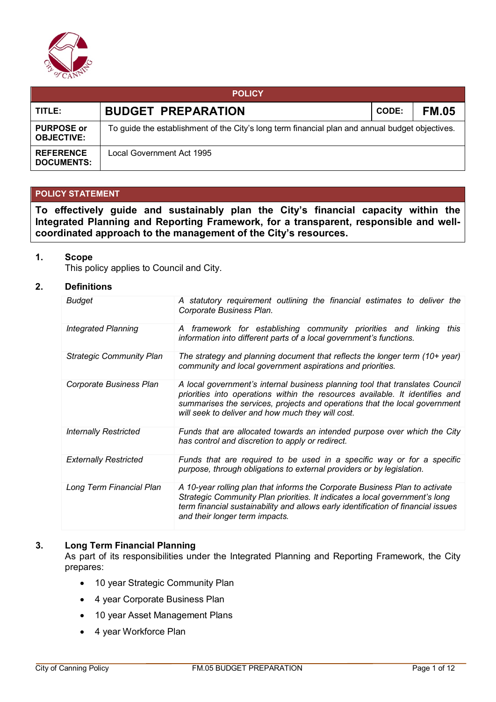

| <b>POLICY</b>                          |                                                                                                 |              |              |  |  |
|----------------------------------------|-------------------------------------------------------------------------------------------------|--------------|--------------|--|--|
| TITLE:                                 | <b>BUDGET PREPARATION</b>                                                                       | <b>CODE:</b> | <b>FM.05</b> |  |  |
| <b>PURPOSE or</b><br><b>OBJECTIVE:</b> | To guide the establishment of the City's long term financial plan and annual budget objectives. |              |              |  |  |
| <b>REFERENCE</b><br><b>DOCUMENTS:</b>  | Local Government Act 1995                                                                       |              |              |  |  |

# **POLICY STATEMENT**

**To effectively guide and sustainably plan the City's financial capacity within the Integrated Planning and Reporting Framework, for a transparent, responsible and wellcoordinated approach to the management of the City's resources.**

#### **1. Scope**

This policy applies to Council and City.

#### **2. Definitions**

| Budget                          | A statutory requirement outlining the financial estimates to deliver the<br>Corporate Business Plan.                                                                                                                                                                                            |
|---------------------------------|-------------------------------------------------------------------------------------------------------------------------------------------------------------------------------------------------------------------------------------------------------------------------------------------------|
| <b>Integrated Planning</b>      | A framework for establishing community priorities and linking<br>this<br>information into different parts of a local government's functions.                                                                                                                                                    |
| <b>Strategic Community Plan</b> | The strategy and planning document that reflects the longer term (10+ year)<br>community and local government aspirations and priorities.                                                                                                                                                       |
| Corporate Business Plan         | A local government's internal business planning tool that translates Council<br>priorities into operations within the resources available. It identifies and<br>summarises the services, projects and operations that the local government<br>will seek to deliver and how much they will cost. |
| <b>Internally Restricted</b>    | Funds that are allocated towards an intended purpose over which the City<br>has control and discretion to apply or redirect.                                                                                                                                                                    |
| <b>Externally Restricted</b>    | Funds that are required to be used in a specific way or for a specific<br>purpose, through obligations to external providers or by legislation.                                                                                                                                                 |
| Long Term Financial Plan        | A 10-year rolling plan that informs the Corporate Business Plan to activate<br>Strategic Community Plan priorities. It indicates a local government's long<br>term financial sustainability and allows early identification of financial issues<br>and their longer term impacts.               |

#### **3. Long Term Financial Planning**

As part of its responsibilities under the Integrated Planning and Reporting Framework, the City prepares:

- 10 year Strategic Community Plan
- 4 year Corporate Business Plan
- 10 year Asset Management Plans
- 4 year Workforce Plan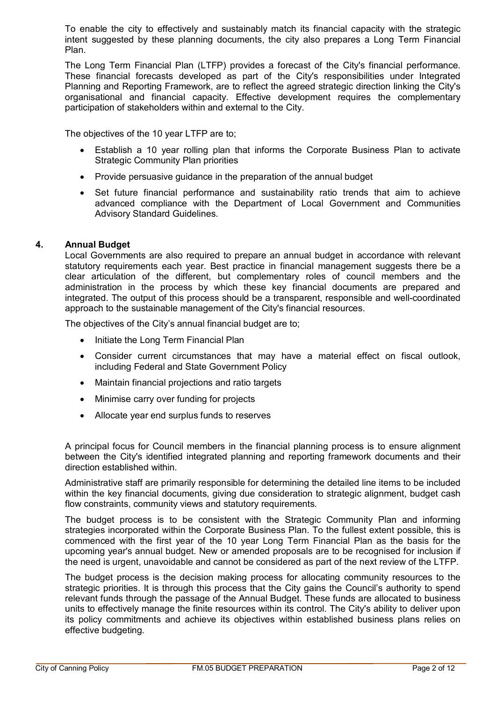To enable the city to effectively and sustainably match its financial capacity with the strategic intent suggested by these planning documents, the city also prepares a Long Term Financial Plan.

The Long Term Financial Plan (LTFP) provides a forecast of the City's financial performance. These financial forecasts developed as part of the City's responsibilities under Integrated Planning and Reporting Framework, are to reflect the agreed strategic direction linking the City's organisational and financial capacity. Effective development requires the complementary participation of stakeholders within and external to the City.

The objectives of the 10 year LTFP are to;

- Establish a 10 year rolling plan that informs the Corporate Business Plan to activate Strategic Community Plan priorities
- Provide persuasive guidance in the preparation of the annual budget
- Set future financial performance and sustainability ratio trends that aim to achieve advanced compliance with the Department of Local Government and Communities Advisory Standard Guidelines.

# **4. Annual Budget**

Local Governments are also required to prepare an annual budget in accordance with relevant statutory requirements each year. Best practice in financial management suggests there be a clear articulation of the different, but complementary roles of council members and the administration in the process by which these key financial documents are prepared and integrated. The output of this process should be a transparent, responsible and well-coordinated approach to the sustainable management of the City's financial resources.

The objectives of the City's annual financial budget are to;

- Initiate the Long Term Financial Plan
- Consider current circumstances that may have a material effect on fiscal outlook, including Federal and State Government Policy
- Maintain financial projections and ratio targets
- Minimise carry over funding for projects
- Allocate year end surplus funds to reserves

A principal focus for Council members in the financial planning process is to ensure alignment between the City's identified integrated planning and reporting framework documents and their direction established within.

Administrative staff are primarily responsible for determining the detailed line items to be included within the key financial documents, giving due consideration to strategic alignment, budget cash flow constraints, community views and statutory requirements.

The budget process is to be consistent with the Strategic Community Plan and informing strategies incorporated within the Corporate Business Plan. To the fullest extent possible, this is commenced with the first year of the 10 year Long Term Financial Plan as the basis for the upcoming year's annual budget. New or amended proposals are to be recognised for inclusion if the need is urgent, unavoidable and cannot be considered as part of the next review of the LTFP.

The budget process is the decision making process for allocating community resources to the strategic priorities. It is through this process that the City gains the Council's authority to spend relevant funds through the passage of the Annual Budget. These funds are allocated to business units to effectively manage the finite resources within its control. The City's ability to deliver upon its policy commitments and achieve its objectives within established business plans relies on effective budgeting.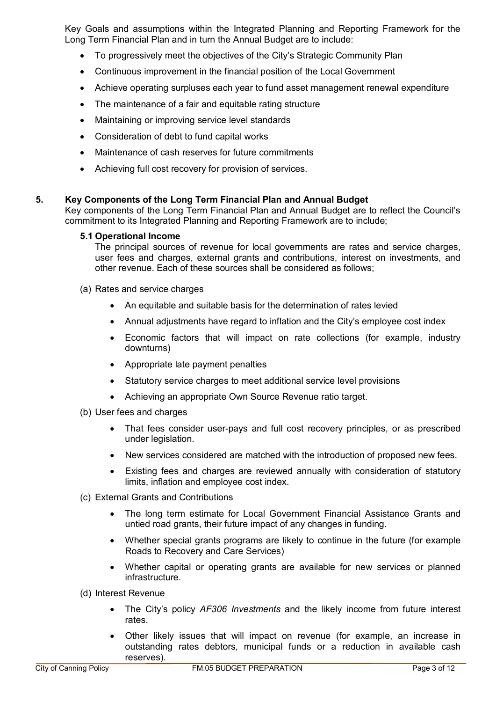Key Goals and assumptions within the Integrated Planning and Reporting Framework for the Long Term Financial Plan and in turn the Annual Budget are to include:

- To progressively meet the objectives of the City's Strategic Community Plan
- Continuous improvement in the financial position of the Local Government
- Achieve operating surpluses each year to fund asset management renewal expenditure
- The maintenance of a fair and equitable rating structure
- Maintaining or improving service level standards
- Consideration of debt to fund capital works
- Maintenance of cash reserves for future commitments
- Achieving full cost recovery for provision of services.

# **5. Key Components of the Long Term Financial Plan and Annual Budget**

Key components of the Long Term Financial Plan and Annual Budget are to reflect the Council's commitment to its Integrated Planning and Reporting Framework are to include;

#### **5.1 Operational Income**

The principal sources of revenue for local governments are rates and service charges, user fees and charges, external grants and contributions, interest on investments, and other revenue. Each of these sources shall be considered as follows;

- (a) Rates and service charges
	- An equitable and suitable basis for the determination of rates levied
	- Annual adjustments have regard to inflation and the City's employee cost index
	- Economic factors that will impact on rate collections (for example, industry downturns)
	- Appropriate late payment penalties
	- Statutory service charges to meet additional service level provisions
	- Achieving an appropriate Own Source Revenue ratio target.
- (b) User fees and charges
	- That fees consider user-pays and full cost recovery principles, or as prescribed under legislation.
	- New services considered are matched with the introduction of proposed new fees.
	- Existing fees and charges are reviewed annually with consideration of statutory limits, inflation and employee cost index.
- (c) External Grants and Contributions
	- The long term estimate for Local Government Financial Assistance Grants and untied road grants, their future impact of any changes in funding.
	- Whether special grants programs are likely to continue in the future (for example Roads to Recovery and Care Services)
	- Whether capital or operating grants are available for new services or planned infrastructure.

(d) Interest Revenue

- The City's policy *AF306 Investments* and the likely income from future interest rates.
- Other likely issues that will impact on revenue (for example, an increase in outstanding rates debtors, municipal funds or a reduction in available cash reserves).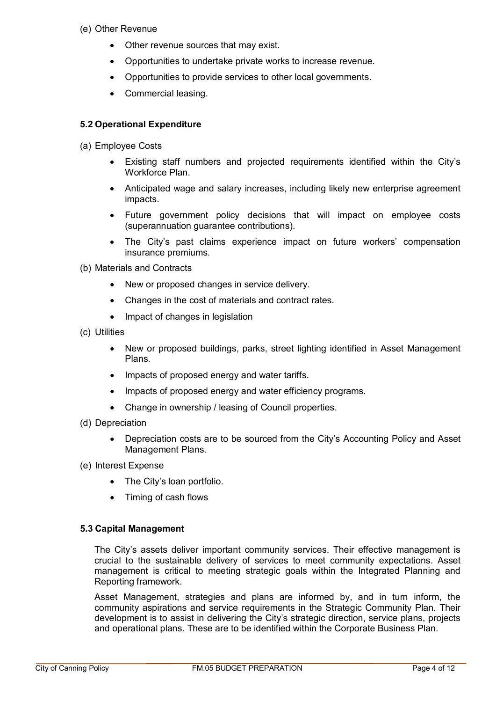- (e) Other Revenue
	- Other revenue sources that may exist.
	- Opportunities to undertake private works to increase revenue.
	- Opportunities to provide services to other local governments.
	- Commercial leasing.

# **5.2 Operational Expenditure**

(a) Employee Costs

- Existing staff numbers and projected requirements identified within the City's Workforce Plan.
- Anticipated wage and salary increases, including likely new enterprise agreement impacts.
- Future government policy decisions that will impact on employee costs (superannuation guarantee contributions).
- The City's past claims experience impact on future workers' compensation insurance premiums.

(b) Materials and Contracts

- New or proposed changes in service delivery.
- Changes in the cost of materials and contract rates.
- Impact of changes in legislation

(c) Utilities

- New or proposed buildings, parks, street lighting identified in Asset Management Plans.
- Impacts of proposed energy and water tariffs.
- Impacts of proposed energy and water efficiency programs.
- Change in ownership / leasing of Council properties.
- (d) Depreciation
	- Depreciation costs are to be sourced from the City's Accounting Policy and Asset Management Plans.
- (e) Interest Expense
	- The City's loan portfolio.
	- Timing of cash flows

# **5.3 Capital Management**

The City's assets deliver important community services. Their effective management is crucial to the sustainable delivery of services to meet community expectations. Asset management is critical to meeting strategic goals within the Integrated Planning and Reporting framework.

Asset Management, strategies and plans are informed by, and in turn inform, the community aspirations and service requirements in the Strategic Community Plan. Their development is to assist in delivering the City's strategic direction, service plans, projects and operational plans. These are to be identified within the Corporate Business Plan.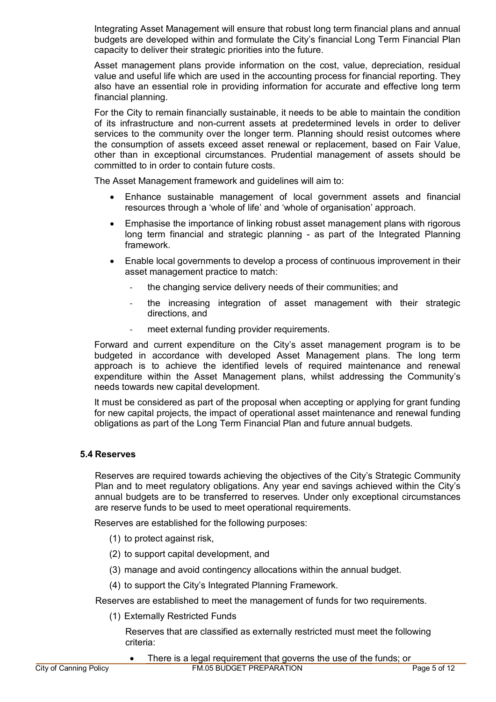Integrating Asset Management will ensure that robust long term financial plans and annual budgets are developed within and formulate the City's financial Long Term Financial Plan capacity to deliver their strategic priorities into the future.

Asset management plans provide information on the cost, value, depreciation, residual value and useful life which are used in the accounting process for financial reporting. They also have an essential role in providing information for accurate and effective long term financial planning.

For the City to remain financially sustainable, it needs to be able to maintain the condition of its infrastructure and non-current assets at predetermined levels in order to deliver services to the community over the longer term. Planning should resist outcomes where the consumption of assets exceed asset renewal or replacement, based on Fair Value, other than in exceptional circumstances. Prudential management of assets should be committed to in order to contain future costs.

The Asset Management framework and guidelines will aim to:

- Enhance sustainable management of local government assets and financial resources through a 'whole of life' and 'whole of organisation' approach.
- Emphasise the importance of linking robust asset management plans with rigorous long term financial and strategic planning - as part of the Integrated Planning framework.
- Enable local governments to develop a process of continuous improvement in their asset management practice to match:
	- the changing service delivery needs of their communities; and
	- the increasing integration of asset management with their strategic directions, and
	- meet external funding provider requirements.

Forward and current expenditure on the City's asset management program is to be budgeted in accordance with developed Asset Management plans. The long term approach is to achieve the identified levels of required maintenance and renewal expenditure within the Asset Management plans, whilst addressing the Community's needs towards new capital development.

It must be considered as part of the proposal when accepting or applying for grant funding for new capital projects, the impact of operational asset maintenance and renewal funding obligations as part of the Long Term Financial Plan and future annual budgets.

# **5.4 Reserves**

Reserves are required towards achieving the objectives of the City's Strategic Community Plan and to meet regulatory obligations. Any year end savings achieved within the City's annual budgets are to be transferred to reserves. Under only exceptional circumstances are reserve funds to be used to meet operational requirements.

Reserves are established for the following purposes:

- (1) to protect against risk,
- (2) to support capital development, and
- (3) manage and avoid contingency allocations within the annual budget.
- (4) to support the City's Integrated Planning Framework.

Reserves are established to meet the management of funds for two requirements.

(1) Externally Restricted Funds

Reserves that are classified as externally restricted must meet the following criteria: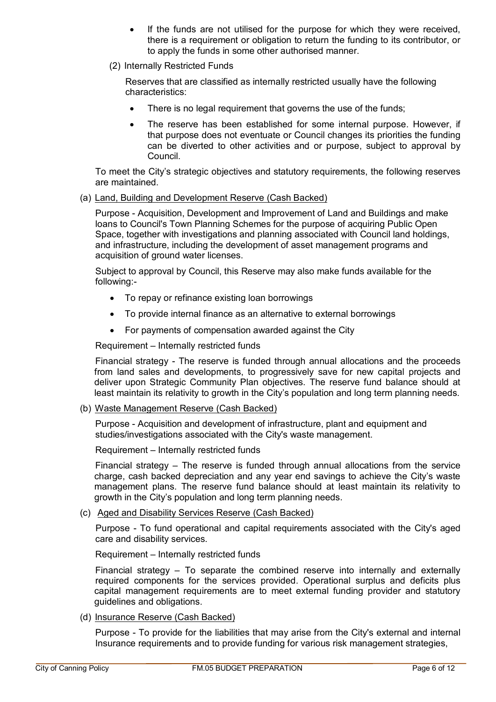- If the funds are not utilised for the purpose for which they were received, there is a requirement or obligation to return the funding to its contributor, or to apply the funds in some other authorised manner.
- (2) Internally Restricted Funds

Reserves that are classified as internally restricted usually have the following characteristics:

- There is no legal requirement that governs the use of the funds:
- The reserve has been established for some internal purpose. However, if that purpose does not eventuate or Council changes its priorities the funding can be diverted to other activities and or purpose, subject to approval by Council.

To meet the City's strategic objectives and statutory requirements, the following reserves are maintained.

(a) Land, Building and Development Reserve (Cash Backed)

Purpose - Acquisition, Development and Improvement of Land and Buildings and make loans to Council's Town Planning Schemes for the purpose of acquiring Public Open Space, together with investigations and planning associated with Council land holdings, and infrastructure, including the development of asset management programs and acquisition of ground water licenses.

Subject to approval by Council, this Reserve may also make funds available for the following:-

- To repay or refinance existing loan borrowings
- To provide internal finance as an alternative to external borrowings
- For payments of compensation awarded against the City

Requirement – Internally restricted funds

Financial strategy - The reserve is funded through annual allocations and the proceeds from land sales and developments, to progressively save for new capital projects and deliver upon Strategic Community Plan objectives. The reserve fund balance should at least maintain its relativity to growth in the City's population and long term planning needs.

(b) Waste Management Reserve (Cash Backed)

Purpose - Acquisition and development of infrastructure, plant and equipment and studies/investigations associated with the City's waste management.

Requirement – Internally restricted funds

Financial strategy – The reserve is funded through annual allocations from the service charge, cash backed depreciation and any year end savings to achieve the City's waste management plans. The reserve fund balance should at least maintain its relativity to growth in the City's population and long term planning needs.

(c) Aged and Disability Services Reserve (Cash Backed)

Purpose - To fund operational and capital requirements associated with the City's aged care and disability services.

Requirement – Internally restricted funds

Financial strategy – To separate the combined reserve into internally and externally required components for the services provided. Operational surplus and deficits plus capital management requirements are to meet external funding provider and statutory guidelines and obligations.

(d) Insurance Reserve (Cash Backed)

Purpose - To provide for the liabilities that may arise from the City's external and internal Insurance requirements and to provide funding for various risk management strategies,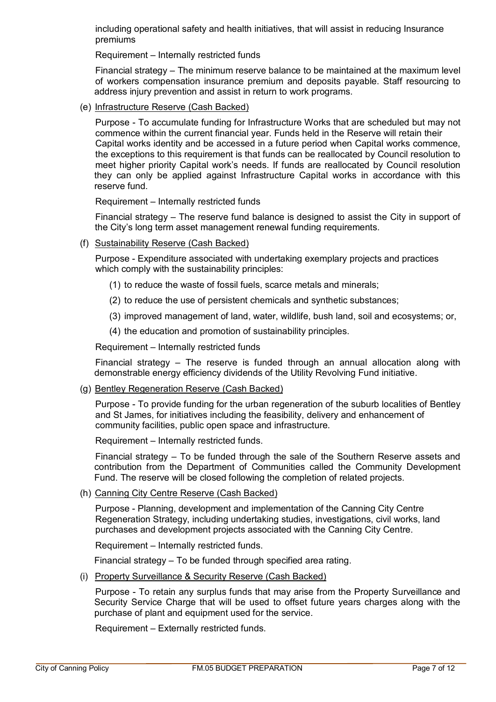including operational safety and health initiatives, that will assist in reducing Insurance premiums

Requirement – Internally restricted funds

Financial strategy – The minimum reserve balance to be maintained at the maximum level of workers compensation insurance premium and deposits payable. Staff resourcing to address injury prevention and assist in return to work programs.

(e) Infrastructure Reserve (Cash Backed)

Purpose - To accumulate funding for Infrastructure Works that are scheduled but may not commence within the current financial year. Funds held in the Reserve will retain their Capital works identity and be accessed in a future period when Capital works commence, the exceptions to this requirement is that funds can be reallocated by Council resolution to meet higher priority Capital work's needs. If funds are reallocated by Council resolution they can only be applied against Infrastructure Capital works in accordance with this reserve fund.

Requirement – Internally restricted funds

Financial strategy – The reserve fund balance is designed to assist the City in support of the City's long term asset management renewal funding requirements.

(f) Sustainability Reserve (Cash Backed)

Purpose - Expenditure associated with undertaking exemplary projects and practices which comply with the sustainability principles:

- (1) to reduce the waste of fossil fuels, scarce metals and minerals;
- (2) to reduce the use of persistent chemicals and synthetic substances;
- (3) improved management of land, water, wildlife, bush land, soil and ecosystems; or,
- (4) the education and promotion of sustainability principles.

Requirement – Internally restricted funds

Financial strategy – The reserve is funded through an annual allocation along with demonstrable energy efficiency dividends of the Utility Revolving Fund initiative.

(g) Bentley Regeneration Reserve (Cash Backed)

Purpose - To provide funding for the urban regeneration of the suburb localities of Bentley and St James, for initiatives including the feasibility, delivery and enhancement of community facilities, public open space and infrastructure.

Requirement – Internally restricted funds.

Financial strategy – To be funded through the sale of the Southern Reserve assets and contribution from the Department of Communities called the Community Development Fund. The reserve will be closed following the completion of related projects.

(h) Canning City Centre Reserve (Cash Backed)

Purpose - Planning, development and implementation of the Canning City Centre Regeneration Strategy, including undertaking studies, investigations, civil works, land purchases and development projects associated with the Canning City Centre.

Requirement – Internally restricted funds.

Financial strategy – To be funded through specified area rating.

(i) Property Surveillance & Security Reserve (Cash Backed)

Purpose - To retain any surplus funds that may arise from the Property Surveillance and Security Service Charge that will be used to offset future years charges along with the purchase of plant and equipment used for the service.

Requirement – Externally restricted funds.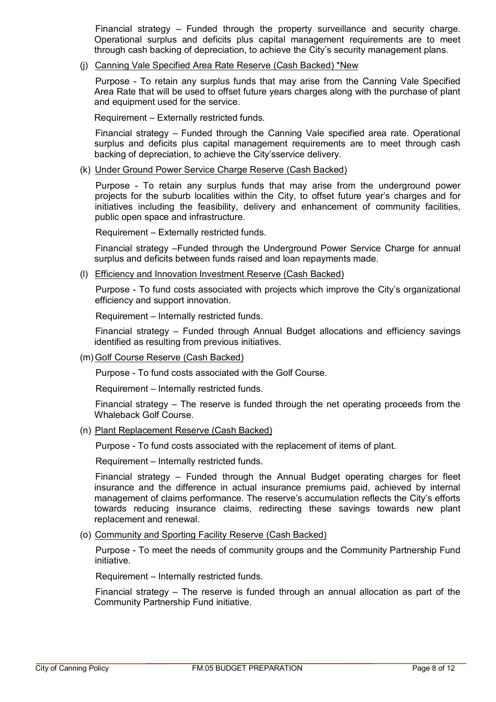Financial strategy – Funded through the property surveillance and security charge. Operational surplus and deficits plus capital management requirements are to meet through cash backing of depreciation, to achieve the City's security management plans.

(j) Canning Vale Specified Area Rate Reserve (Cash Backed) \*New

Purpose - To retain any surplus funds that may arise from the Canning Vale Specified Area Rate that will be used to offset future years charges along with the purchase of plant and equipment used for the service.

Requirement – Externally restricted funds.

Financial strategy – Funded through the Canning Vale specified area rate. Operational surplus and deficits plus capital management requirements are to meet through cash backing of depreciation, to achieve the City'sservice delivery.

(k) Under Ground Power Service Charge Reserve (Cash Backed)

Purpose - To retain any surplus funds that may arise from the underground power projects for the suburb localities within the City, to offset future year's charges and for initiatives including the feasibility, delivery and enhancement of community facilities, public open space and infrastructure.

Requirement – Externally restricted funds.

Financial strategy –Funded through the Underground Power Service Charge for annual surplus and deficits between funds raised and loan repayments made.

(l) Efficiency and Innovation Investment Reserve (Cash Backed)

Purpose - To fund costs associated with projects which improve the City's organizational efficiency and support innovation.

Requirement – Internally restricted funds.

Financial strategy – Funded through Annual Budget allocations and efficiency savings identified as resulting from previous initiatives.

(m)Golf Course Reserve (Cash Backed)

Purpose - To fund costs associated with the Golf Course.

Requirement – Internally restricted funds.

Financial strategy – The reserve is funded through the net operating proceeds from the Whaleback Golf Course.

(n) Plant Replacement Reserve (Cash Backed)

Purpose - To fund costs associated with the replacement of items of plant.

Requirement – Internally restricted funds.

Financial strategy – Funded through the Annual Budget operating charges for fleet insurance and the difference in actual insurance premiums paid, achieved by internal management of claims performance. The reserve's accumulation reflects the City's efforts towards reducing insurance claims, redirecting these savings towards new plant replacement and renewal.

(o) Community and Sporting Facility Reserve (Cash Backed)

Purpose - To meet the needs of community groups and the Community Partnership Fund initiative.

Requirement – Internally restricted funds.

Financial strategy – The reserve is funded through an annual allocation as part of the Community Partnership Fund initiative.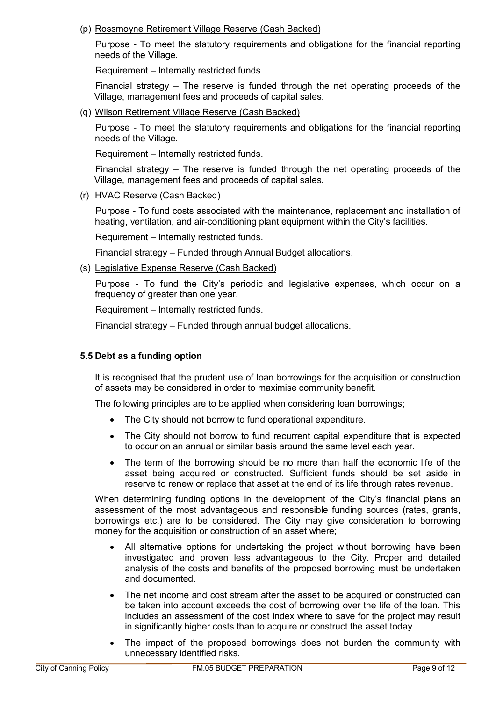# (p) Rossmoyne Retirement Village Reserve (Cash Backed)

Purpose - To meet the statutory requirements and obligations for the financial reporting needs of the Village.

Requirement – Internally restricted funds.

Financial strategy – The reserve is funded through the net operating proceeds of the Village, management fees and proceeds of capital sales.

(q) Wilson Retirement Village Reserve (Cash Backed)

Purpose - To meet the statutory requirements and obligations for the financial reporting needs of the Village.

Requirement – Internally restricted funds.

Financial strategy – The reserve is funded through the net operating proceeds of the Village, management fees and proceeds of capital sales.

(r) HVAC Reserve (Cash Backed)

Purpose - To fund costs associated with the maintenance, replacement and installation of heating, ventilation, and air-conditioning plant equipment within the City's facilities.

Requirement – Internally restricted funds.

Financial strategy – Funded through Annual Budget allocations.

(s) Legislative Expense Reserve (Cash Backed)

Purpose - To fund the City's periodic and legislative expenses, which occur on a frequency of greater than one year.

Requirement – Internally restricted funds.

Financial strategy – Funded through annual budget allocations.

# **5.5 Debt as a funding option**

It is recognised that the prudent use of loan borrowings for the acquisition or construction of assets may be considered in order to maximise community benefit.

The following principles are to be applied when considering loan borrowings;

- The City should not borrow to fund operational expenditure.
- The City should not borrow to fund recurrent capital expenditure that is expected to occur on an annual or similar basis around the same level each year.
- The term of the borrowing should be no more than half the economic life of the asset being acquired or constructed. Sufficient funds should be set aside in reserve to renew or replace that asset at the end of its life through rates revenue.

When determining funding options in the development of the City's financial plans an assessment of the most advantageous and responsible funding sources (rates, grants, borrowings etc.) are to be considered. The City may give consideration to borrowing money for the acquisition or construction of an asset where;

- All alternative options for undertaking the project without borrowing have been investigated and proven less advantageous to the City. Proper and detailed analysis of the costs and benefits of the proposed borrowing must be undertaken and documented.
- The net income and cost stream after the asset to be acquired or constructed can be taken into account exceeds the cost of borrowing over the life of the loan. This includes an assessment of the cost index where to save for the project may result in significantly higher costs than to acquire or construct the asset today.
- The impact of the proposed borrowings does not burden the community with unnecessary identified risks.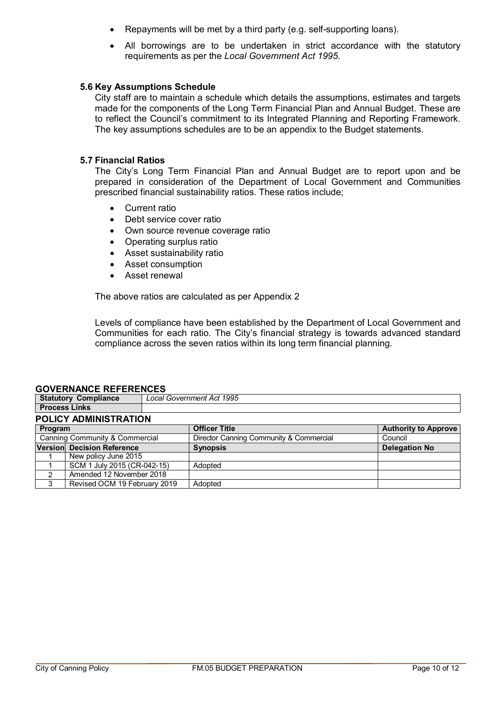- Repayments will be met by a third party (e.g. self-supporting loans).
- All borrowings are to be undertaken in strict accordance with the statutory requirements as per the *Local Government Act 1995.*

#### **5.6 Key Assumptions Schedule**

City staff are to maintain a schedule which details the assumptions, estimates and targets made for the components of the Long Term Financial Plan and Annual Budget. These are to reflect the Council's commitment to its Integrated Planning and Reporting Framework. The key assumptions schedules are to be an appendix to the Budget statements.

#### **5.7 Financial Ratios**

The City's Long Term Financial Plan and Annual Budget are to report upon and be prepared in consideration of the Department of Local Government and Communities prescribed financial sustainability ratios. These ratios include;

- Current ratio
- Debt service cover ratio
- Own source revenue coverage ratio
- Operating surplus ratio
- Asset sustainability ratio
- Asset consumption
- Asset renewal

The above ratios are calculated as per Appendix 2

Levels of compliance have been established by the Department of Local Government and Communities for each ratio. The City's financial strategy is towards advanced standard compliance across the seven ratios within its long term financial planning.

# **GOVERNANCE REFERENCES**

| <u>UUTENMUVE INEI EINEIVUD</u> |                                  |  |  |  |
|--------------------------------|----------------------------------|--|--|--|
| <b>Statutory Compliance</b>    | <b>Local Government Act 1995</b> |  |  |  |
| l Process Links                |                                  |  |  |  |
| <b>POLICY ADMINISTRATION</b>   |                                  |  |  |  |

#### **Program Authority to Approve** Canning Community & Commercial Director Canning Community & Commercial Council **Version Decision Reference Synopsis CONSIDERENT <b>Delegation No** New policy June 2015 1 SCM 1 July 2015 (CR-042-15) Adopted 2 Amended 12 November 2018 3 Revised OCM 19 February 2019 | Adopted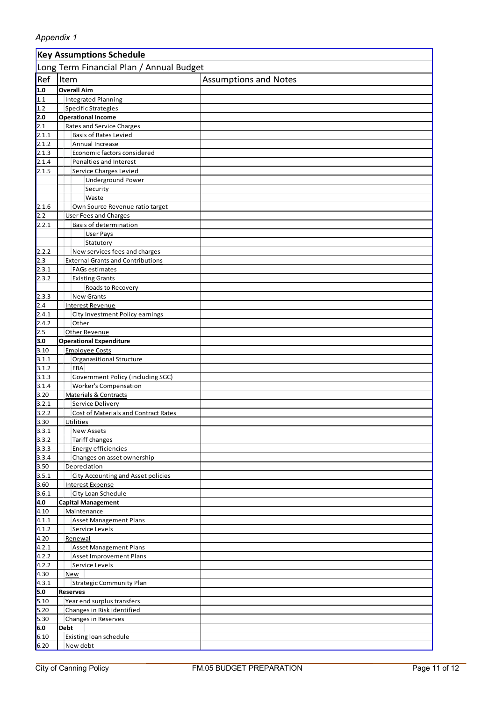|                | <b>Key Assumptions Schedule</b>                 |                              |  |  |  |
|----------------|-------------------------------------------------|------------------------------|--|--|--|
|                | Long Term Financial Plan / Annual Budget        |                              |  |  |  |
| Ref            | Item                                            | <b>Assumptions and Notes</b> |  |  |  |
| 1.0            | <b>Overall Aim</b>                              |                              |  |  |  |
| 1.1            | Integrated Planning                             |                              |  |  |  |
| 1.2            | Specific Strategies                             |                              |  |  |  |
| 2.0            | <b>Operational Income</b>                       |                              |  |  |  |
| 2.1            | Rates and Service Charges                       |                              |  |  |  |
| 2.1.1          | <b>Basis of Rates Levied</b>                    |                              |  |  |  |
| 2.1.2          | Annual Increase                                 |                              |  |  |  |
| 2.1.3          | Economic factors considered                     |                              |  |  |  |
| 2.1.4          | Penalties and Interest                          |                              |  |  |  |
| 2.1.5          | Service Charges Levied                          |                              |  |  |  |
|                | <b>Underground Power</b>                        |                              |  |  |  |
|                | Security                                        |                              |  |  |  |
| 2.1.6          | Waste<br>Own Source Revenue ratio target        |                              |  |  |  |
| 2.2            | User Fees and Charges                           |                              |  |  |  |
| 2.2.1          | <b>Basis of determination</b>                   |                              |  |  |  |
|                | <b>User Pays</b>                                |                              |  |  |  |
|                | Statutory                                       |                              |  |  |  |
| 2.2.2          | New services fees and charges                   |                              |  |  |  |
| 2.3            | <b>External Grants and Contributions</b>        |                              |  |  |  |
| 2.3.1          | <b>FAGs estimates</b>                           |                              |  |  |  |
| 2.3.2          | <b>Existing Grants</b>                          |                              |  |  |  |
|                | Roads to Recovery                               |                              |  |  |  |
| 2.3.3          | <b>New Grants</b>                               |                              |  |  |  |
| 2.4            | <b>Interest Revenue</b>                         |                              |  |  |  |
| 2.4.1          | City Investment Policy earnings                 |                              |  |  |  |
| 2.4.2          | Other                                           |                              |  |  |  |
| 2.5            | Other Revenue                                   |                              |  |  |  |
| 3.0            | <b>Operational Expenditure</b>                  |                              |  |  |  |
| 3.10           | <b>Employee Costs</b>                           |                              |  |  |  |
| 3.1.1          | <b>Organasitional Structure</b>                 |                              |  |  |  |
| 3.1.2          | <b>EBA</b><br>Government Policy (including SGC) |                              |  |  |  |
| 3.1.3<br>3.1.4 | <b>Worker's Compensation</b>                    |                              |  |  |  |
| 3.20           | Materials & Contracts                           |                              |  |  |  |
| 3.2.1          | Service Delivery                                |                              |  |  |  |
| 3.2.2          | Cost of Materials and Contract Rates            |                              |  |  |  |
| 3.30           | Utilities                                       |                              |  |  |  |
| 3.3.1          | <b>New Assets</b>                               |                              |  |  |  |
| 3.3.2          | <b>Tariff changes</b>                           |                              |  |  |  |
| 3.3.3          | Energy efficiencies                             |                              |  |  |  |
| 3.3.4          | Changes on asset ownership                      |                              |  |  |  |
| 3.50           | Depreciation                                    |                              |  |  |  |
| 3.5.1          | City Accounting and Asset policies              |                              |  |  |  |
| 3.60           | <b>Interest Expense</b>                         |                              |  |  |  |
| 3.6.1          | City Loan Schedule                              |                              |  |  |  |
| 4.0            | <b>Capital Management</b>                       |                              |  |  |  |
| 4.10           | Maintenance                                     |                              |  |  |  |
| 4.1.1          | <b>Asset Management Plans</b><br>Service Levels |                              |  |  |  |
| 4.1.2<br>4.20  | Renewal                                         |                              |  |  |  |
| 4.2.1          | <b>Asset Management Plans</b>                   |                              |  |  |  |
| 4.2.2          | <b>Asset Improvement Plans</b>                  |                              |  |  |  |
| 4.2.2          | Service Levels                                  |                              |  |  |  |
| 4.30           | New                                             |                              |  |  |  |
| 4.3.1          | <b>Strategic Community Plan</b>                 |                              |  |  |  |
| 5.0            | <b>Reserves</b>                                 |                              |  |  |  |
| 5.10           | Year end surplus transfers                      |                              |  |  |  |
| 5.20           | Changes in Risk identified                      |                              |  |  |  |
| 5.30           | <b>Changes in Reserves</b>                      |                              |  |  |  |
| 6.0            | <b>Debt</b>                                     |                              |  |  |  |
| 6.10           | Existing loan schedule                          |                              |  |  |  |
| 6.20           | New debt                                        |                              |  |  |  |